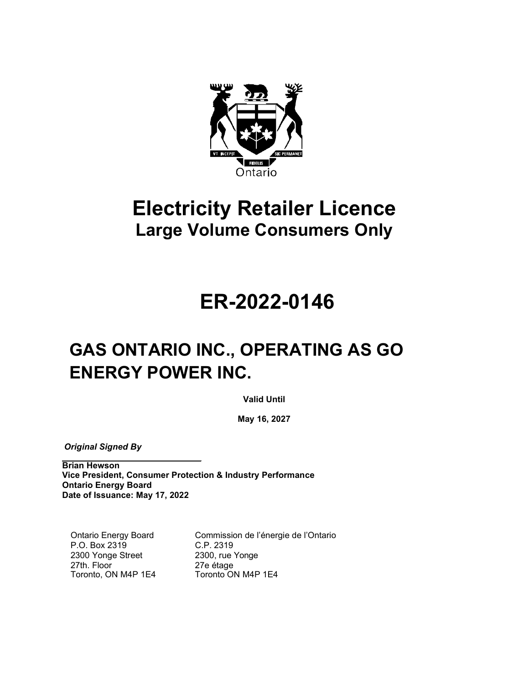

## **Electricity Retailer Licence Large Volume Consumers Only**

# **ER-2022-0146**

## **GAS ONTARIO INC., OPERATING AS GO ENERGY POWER INC.**

**Valid Until** 

**May 16, 2027**

 *Original Signed By*

**Brian Hewson Vice President, Consumer Protection & Industry Performance Ontario Energy Board Date of Issuance: May 17, 2022**

Ontario Energy Board P.O. Box 2319 2300 Yonge Street 27th. Floor Toronto, ON M4P 1E4 Commission de l'énergie de l'Ontario C.P. 2319 2300, rue Yonge 27e étage Toronto ON M4P 1E4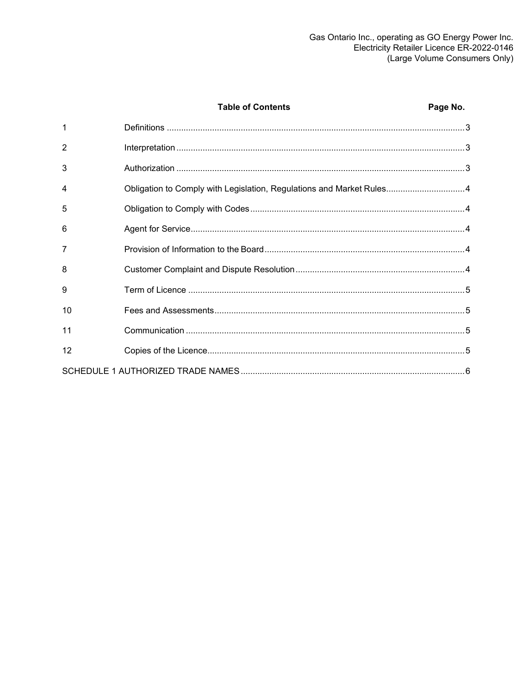|                | <b>Table of Contents</b>                                             | Page No. |
|----------------|----------------------------------------------------------------------|----------|
| 1              |                                                                      |          |
| $\overline{2}$ |                                                                      |          |
| 3              |                                                                      |          |
| 4              | Obligation to Comply with Legislation, Regulations and Market Rules4 |          |
| 5              |                                                                      |          |
| 6              |                                                                      |          |
| 7              |                                                                      |          |
| 8              |                                                                      |          |
| 9              |                                                                      |          |
| 10             |                                                                      |          |
| 11             |                                                                      |          |
| 12             |                                                                      |          |
|                |                                                                      |          |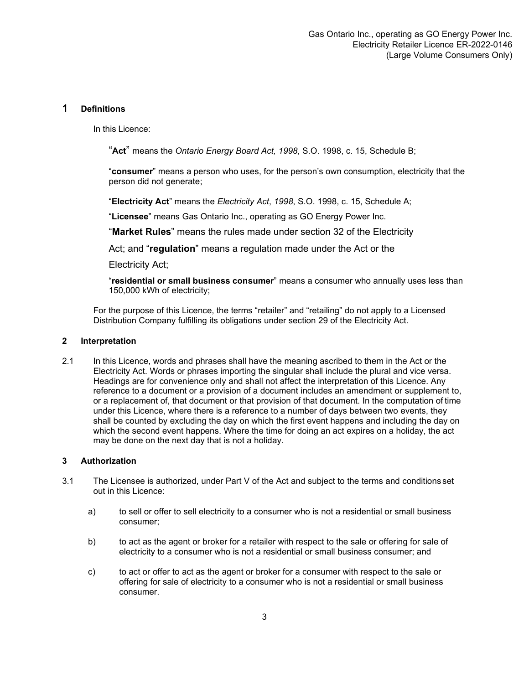#### <span id="page-2-0"></span>**1 Definitions**

In this Licence:

"**Act**" means the *Ontario Energy Board Act, 1998*, S.O. 1998, c. 15, Schedule B;

"**consumer**" means a person who uses, for the person's own consumption, electricity that the person did not generate;

"**Electricity Act**" means the *Electricity Act*, *1998*, S.O. 1998, c. 15, Schedule A;

"**Licensee**" means Gas Ontario Inc., operating as GO Energy Power Inc.

"**Market Rules**" means the rules made under section 32 of the Electricity

Act; and "**regulation**" means a regulation made under the Act or the

Electricity Act;

"**residential or small business consumer**" means a consumer who annually uses less than 150,000 kWh of electricity;

For the purpose of this Licence, the terms "retailer" and "retailing" do not apply to a Licensed Distribution Company fulfilling its obligations under section 29 of the Electricity Act.

#### <span id="page-2-1"></span>**2 Interpretation**

2.1 In this Licence, words and phrases shall have the meaning ascribed to them in the Act or the Electricity Act. Words or phrases importing the singular shall include the plural and vice versa. Headings are for convenience only and shall not affect the interpretation of this Licence. Any reference to a document or a provision of a document includes an amendment or supplement to, or a replacement of, that document or that provision of that document. In the computation of time under this Licence, where there is a reference to a number of days between two events, they shall be counted by excluding the day on which the first event happens and including the day on which the second event happens. Where the time for doing an act expires on a holiday, the act may be done on the next day that is not a holiday.

#### <span id="page-2-2"></span>**3 Authorization**

- 3.1 The Licensee is authorized, under Part V of the Act and subject to the terms and conditions set out in this Licence:
	- a) to sell or offer to sell electricity to a consumer who is not a residential or small business consumer;
	- b) to act as the agent or broker for a retailer with respect to the sale or offering for sale of electricity to a consumer who is not a residential or small business consumer; and
	- c) to act or offer to act as the agent or broker for a consumer with respect to the sale or offering for sale of electricity to a consumer who is not a residential or small business consumer.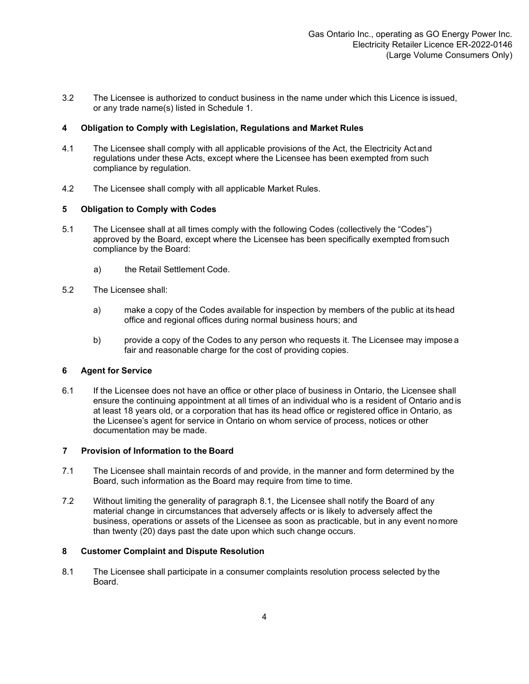3.2 The Licensee is authorized to conduct business in the name under which this Licence is issued, or any trade name(s) listed in Schedule 1.

#### <span id="page-3-0"></span>**4 Obligation to Comply with Legislation, Regulations and Market Rules**

- 4.1 The Licensee shall comply with all applicable provisions of the Act, the Electricity Act and regulations under these Acts, except where the Licensee has been exempted from such compliance by regulation.
- 4.2 The Licensee shall comply with all applicable Market Rules.

#### <span id="page-3-1"></span>**5 Obligation to Comply with Codes**

- 5.1 The Licensee shall at all times comply with the following Codes (collectively the "Codes") approved by the Board, except where the Licensee has been specifically exempted fromsuch compliance by the Board:
	- a) the Retail Settlement Code.
- 5.2 The Licensee shall:
	- a) make a copy of the Codes available for inspection by members of the public at its head office and regional offices during normal business hours; and
	- b) provide a copy of the Codes to any person who requests it. The Licensee may impose a fair and reasonable charge for the cost of providing copies.

#### <span id="page-3-2"></span>**6 Agent for Service**

6.1 If the Licensee does not have an office or other place of business in Ontario, the Licensee shall ensure the continuing appointment at all times of an individual who is a resident of Ontario and is at least 18 years old, or a corporation that has its head office or registered office in Ontario, as the Licensee's agent for service in Ontario on whom service of process, notices or other documentation may be made.

#### <span id="page-3-3"></span>**7 Provision of Information to the Board**

- 7.1 The Licensee shall maintain records of and provide, in the manner and form determined by the Board, such information as the Board may require from time to time.
- 7.2 Without limiting the generality of paragraph 8.1, the Licensee shall notify the Board of any material change in circumstances that adversely affects or is likely to adversely affect the business, operations or assets of the Licensee as soon as practicable, but in any event nomore than twenty (20) days past the date upon which such change occurs.

#### <span id="page-3-4"></span>**8 Customer Complaint and Dispute Resolution**

8.1 The Licensee shall participate in a consumer complaints resolution process selected by the Board.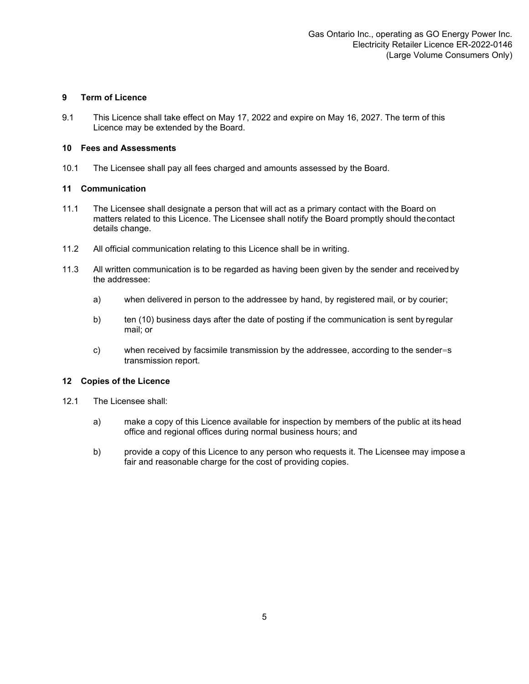#### <span id="page-4-0"></span>**9 Term of Licence**

9.1 This Licence shall take effect on May 17, 2022 and expire on May 16, 2027. The term of this Licence may be extended by the Board.

#### <span id="page-4-1"></span>**10 Fees and Assessments**

10.1 The Licensee shall pay all fees charged and amounts assessed by the Board.

#### <span id="page-4-2"></span>**11 Communication**

- 11.1 The Licensee shall designate a person that will act as a primary contact with the Board on matters related to this Licence. The Licensee shall notify the Board promptly should thecontact details change.
- 11.2 All official communication relating to this Licence shall be in writing.
- 11.3 All written communication is to be regarded as having been given by the sender and received by the addressee:
	- a) when delivered in person to the addressee by hand, by registered mail, or by courier;
	- b) ten (10) business days after the date of posting if the communication is sent by regular mail; or
	- c) when received by facsimile transmission by the addressee, according to the sender=s transmission report.

#### <span id="page-4-3"></span>**12 Copies of the Licence**

- 12.1 The Licensee shall:
	- a) make a copy of this Licence available for inspection by members of the public at its head office and regional offices during normal business hours; and
	- b) provide a copy of this Licence to any person who requests it. The Licensee may impose a fair and reasonable charge for the cost of providing copies.